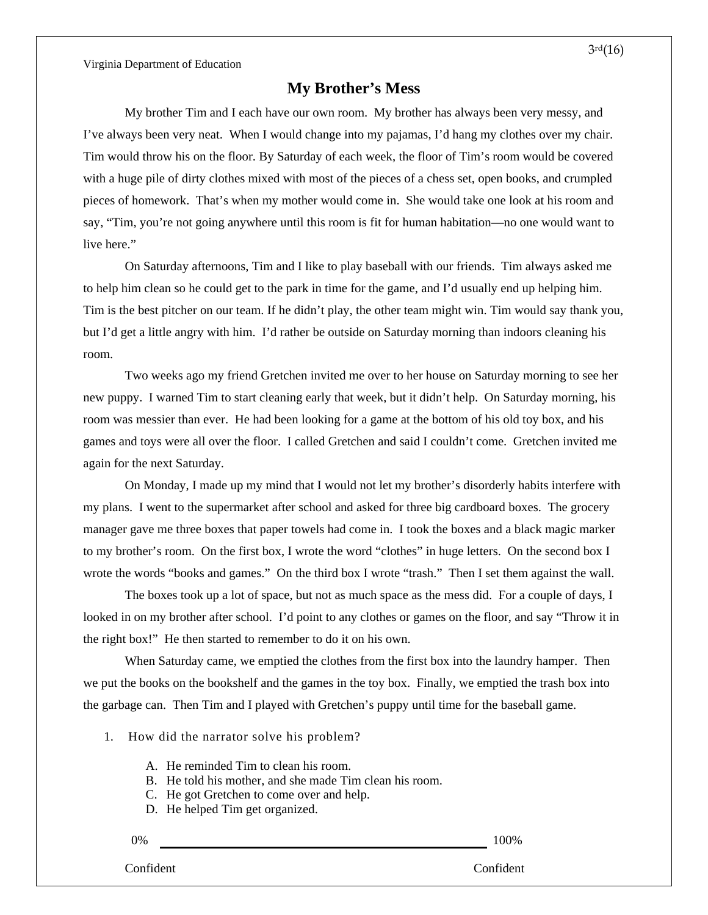Virginia Department of Education

## **My Brother's Mess**

My brother Tim and I each have our own room. My brother has always been very messy, and I've always been very neat. When I would change into my pajamas, I'd hang my clothes over my chair. Tim would throw his on the floor. By Saturday of each week, the floor of Tim's room would be covered with a huge pile of dirty clothes mixed with most of the pieces of a chess set, open books, and crumpled pieces of homework. That's when my mother would come in. She would take one look at his room and say, "Tim, you're not going anywhere until this room is fit for human habitation—no one would want to live here."

On Saturday afternoons, Tim and I like to play baseball with our friends. Tim always asked me to help him clean so he could get to the park in time for the game, and I'd usually end up helping him. Tim is the best pitcher on our team. If he didn't play, the other team might win. Tim would say thank you, but I'd get a little angry with him. I'd rather be outside on Saturday morning than indoors cleaning his room.

Two weeks ago my friend Gretchen invited me over to her house on Saturday morning to see her new puppy. I warned Tim to start cleaning early that week, but it didn't help. On Saturday morning, his room was messier than ever. He had been looking for a game at the bottom of his old toy box, and his games and toys were all over the floor. I called Gretchen and said I couldn't come. Gretchen invited me again for the next Saturday.

On Monday, I made up my mind that I would not let my brother's disorderly habits interfere with my plans. I went to the supermarket after school and asked for three big cardboard boxes. The grocery manager gave me three boxes that paper towels had come in. I took the boxes and a black magic marker to my brother's room. On the first box, I wrote the word "clothes" in huge letters. On the second box I wrote the words "books and games." On the third box I wrote "trash." Then I set them against the wall.

The boxes took up a lot of space, but not as much space as the mess did. For a couple of days, I looked in on my brother after school. I'd point to any clothes or games on the floor, and say "Throw it in the right box!" He then started to remember to do it on his own.

When Saturday came, we emptied the clothes from the first box into the laundry hamper. Then we put the books on the bookshelf and the games in the toy box. Finally, we emptied the trash box into the garbage can. Then Tim and I played with Gretchen's puppy until time for the baseball game.

- 1. How did the narrator solve his problem?
	- A. He reminded Tim to clean his room.
	- B. He told his mother, and she made Tim clean his room.
	- C. He got Gretchen to come over and help.
	- D. He helped Tim get organized.

0% 100%

Confident Confident